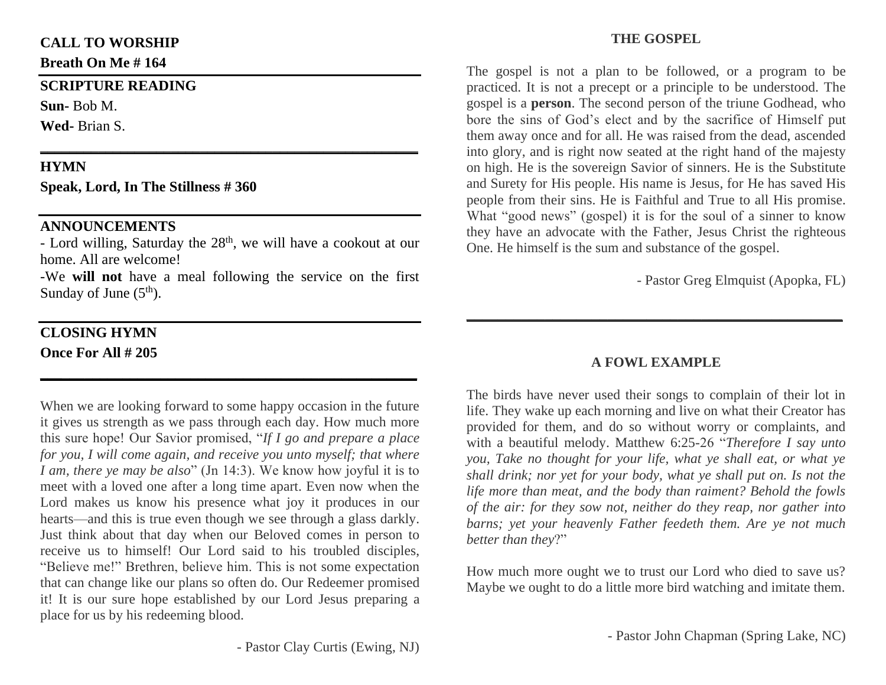## **CALL TO WORSHIP**

**Breath On Me # 164**

#### **SCRIPTURE READING**

**Sun-** Bob M.

**Wed-** Brian S.

## **HYMN**

**Speak, Lord, In The Stillness # 360**

## **ANNOUNCEMENTS**

 $-$  Lord willing, Saturday the  $28<sup>th</sup>$ , we will have a cookout at our home. All are welcome!

**\_\_\_\_\_\_\_\_\_\_\_\_\_\_\_\_\_\_\_\_\_\_\_\_\_\_\_\_\_\_\_\_\_\_\_\_\_\_\_\_\_\_\_\_\_\_\_\_\_\_\_\_**

-We **will not** have a meal following the service on the first Sunday of June  $(5<sup>th</sup>)$ .

**\_\_\_\_\_\_\_\_\_\_\_\_\_\_\_\_\_\_\_\_\_\_\_\_\_\_\_\_\_\_\_\_\_\_\_\_\_\_\_\_\_\_\_\_\_\_\_\_\_\_**

# **CLOSING HYMN Once For All # 205**

When we are looking forward to some happy occasion in the future it gives us strength as we pass through each day. How much more this sure hope! Our Savior promised, "*If I go and prepare a place for you, I will come again, and receive you unto myself; that where I am, there ye may be also*" (Jn 14:3). We know how joyful it is to meet with a loved one after a long time apart. Even now when the Lord makes us know his presence what joy it produces in our hearts—and this is true even though we see through a glass darkly. Just think about that day when our Beloved comes in person to receive us to himself! Our Lord said to his troubled disciples, "Believe me!" Brethren, believe him. This is not some expectation that can change like our plans so often do. Our Redeemer promised it! It is our sure hope established by our Lord Jesus preparing a place for us by his redeeming blood.

### **THE GOSPEL**

The gospel is not a plan to be followed, or a program to be practiced. It is not a precept or a principle to be understood. The gospel is a **person**. The second person of the triune Godhead, who bore the sins of God's elect and by the sacrifice of Himself put them away once and for all. He was raised from the dead, ascended into glory, and is right now seated at the right hand of the majesty on high. He is the sovereign Savior of sinners. He is the Substitute and Surety for His people. His name is Jesus, for He has saved His people from their sins. He is Faithful and True to all His promise. What "good news" (gospel) it is for the soul of a sinner to know they have an advocate with the Father, Jesus Christ the righteous One. He himself is the sum and substance of the gospel.

- Pastor Greg Elmquist (Apopka, FL)

## **A FOWL EXAMPLE**

**\_\_\_\_\_\_\_\_\_\_\_\_\_\_\_\_\_\_\_\_\_\_\_\_\_\_\_\_\_\_\_\_\_\_\_\_\_\_\_\_\_\_\_\_\_\_\_\_**

The birds have never used their songs to complain of their lot in life. They wake up each morning and live on what their Creator has provided for them, and do so without worry or complaints, and with a beautiful melody. Matthew 6:25-26 "*Therefore I say unto you, Take no thought for your life, what ye shall eat, or what ye shall drink; nor yet for your body, what ye shall put on. Is not the life more than meat, and the body than raiment? Behold the fowls of the air: for they sow not, neither do they reap, nor gather into barns; yet your heavenly Father feedeth them. Are ye not much better than they*?"

How much more ought we to trust our Lord who died to save us? Maybe we ought to do a little more bird watching and imitate them.